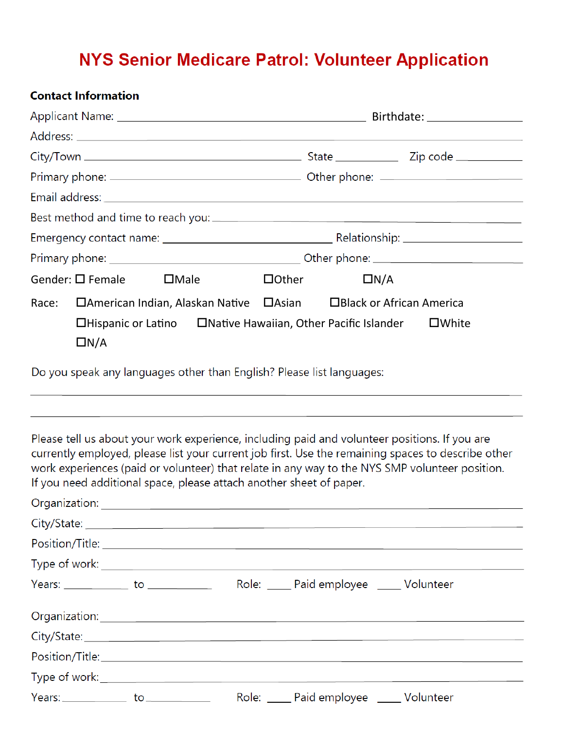### **NYS Senior Medicare Patrol: Volunteer Application**

#### **Contact Information**

|                          |                                                                          |              | Birthdate: __________________                |                 |  |  |
|--------------------------|--------------------------------------------------------------------------|--------------|----------------------------------------------|-----------------|--|--|
|                          |                                                                          |              |                                              |                 |  |  |
|                          |                                                                          |              |                                              |                 |  |  |
|                          |                                                                          |              |                                              |                 |  |  |
|                          |                                                                          |              |                                              |                 |  |  |
|                          |                                                                          |              |                                              |                 |  |  |
|                          |                                                                          |              |                                              |                 |  |  |
|                          |                                                                          |              |                                              |                 |  |  |
| Gender: $\square$ Female | $\Box$ Male                                                              | $\Box$ Other | $\Box N/A$                                   |                 |  |  |
| Race:                    | □American Indian, Alaskan Native                                         |              | $\Box$ Asian $\Box$ Black or African America |                 |  |  |
| $\Box N/A$               | $\Box$ Hispanic or Latino $\Box$ Native Hawaiian, Other Pacific Islander |              |                                              | $\square$ White |  |  |

Do you speak any languages other than English? Please list languages:

Please tell us about your work experience, including paid and volunteer positions. If you are currently employed, please list your current job first. Use the remaining spaces to describe other work experiences (paid or volunteer) that relate in any way to the NYS SMP volunteer position. If you need additional space, please attach another sheet of paper.

| $Years:$ $\qquad \qquad$ to $\qquad \qquad$ | Role: <u>Queen Paid employee</u> 2000 Volunteer |  |
|---------------------------------------------|-------------------------------------------------|--|
|                                             |                                                 |  |
|                                             |                                                 |  |
|                                             |                                                 |  |
|                                             |                                                 |  |
| $Years:$ $\qquad \qquad$ to $\qquad \qquad$ | Role: Paid employee ______ Volunteer            |  |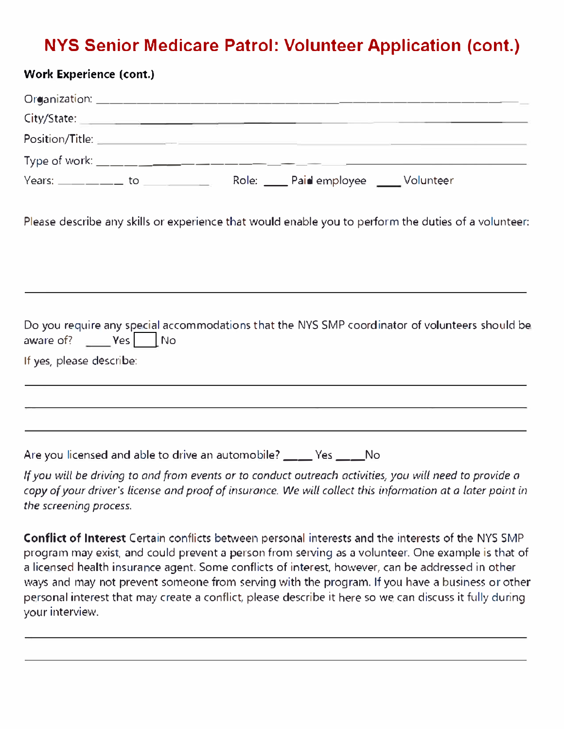## **NYS Senior Medicare Patrol: Volunteer Application (cont.)**

| <b>Work Experience (cont.)</b>                                               |  |                                                                      |                                                                                                                                                                      |
|------------------------------------------------------------------------------|--|----------------------------------------------------------------------|----------------------------------------------------------------------------------------------------------------------------------------------------------------------|
|                                                                              |  |                                                                      |                                                                                                                                                                      |
|                                                                              |  |                                                                      | City/State: City/State: City/State: City/State: City/State: City/State: City/State: City/State: City                                                                 |
|                                                                              |  |                                                                      |                                                                                                                                                                      |
|                                                                              |  |                                                                      |                                                                                                                                                                      |
|                                                                              |  |                                                                      |                                                                                                                                                                      |
|                                                                              |  |                                                                      | Please describe any skills or experience that would enable you to perform the duties of a volunteer:                                                                 |
|                                                                              |  |                                                                      |                                                                                                                                                                      |
| aware of? $\rule{1em}{0.15mm}$ $\text{Yes}$ $\rule{1em}{0.15mm}$ $\text{No}$ |  |                                                                      | Do you require any special accommodations that the NYS SMP coordinator of volunteers should be                                                                       |
| If yes, please describe:                                                     |  |                                                                      |                                                                                                                                                                      |
|                                                                              |  |                                                                      | ,我们也不会有什么。""我们的人,我们也不会有什么?""我们的人,我们也不会有什么?""我们的人,我们也不会有什么?""我们的人,我们也不会有什么?""我们的人<br>,我们也不能在这里的时候,我们也不能在这里的时候,我们也不能在这里的时候,我们也不能会在这里的时候,我们也不能会在这里的时候,我们也不能会在这里的时候,我们也不 |
|                                                                              |  |                                                                      |                                                                                                                                                                      |
|                                                                              |  | Are you licensed and able to drive an automobile? _____ Yes _____ No |                                                                                                                                                                      |

*If you will be driving to and from events or to conduct outreach activities, you will need to provide a copy of your driver's license and proof of insurance. We will collect this information at a later point in the screening process.* 

**Conflict of Interest** Certain conflicts between personal interests and the interests of the NYS SMP program may exist, and could prevent a person from serving as a volunteer. One example is that of a licensed health insurance agent. Some conflicts of interest, however, can be addressed in other ways and may not prevent someone from serving with the program. If you have a business or other personal interest that may create a conflict, please describe it here so we can discuss it fully during your interview.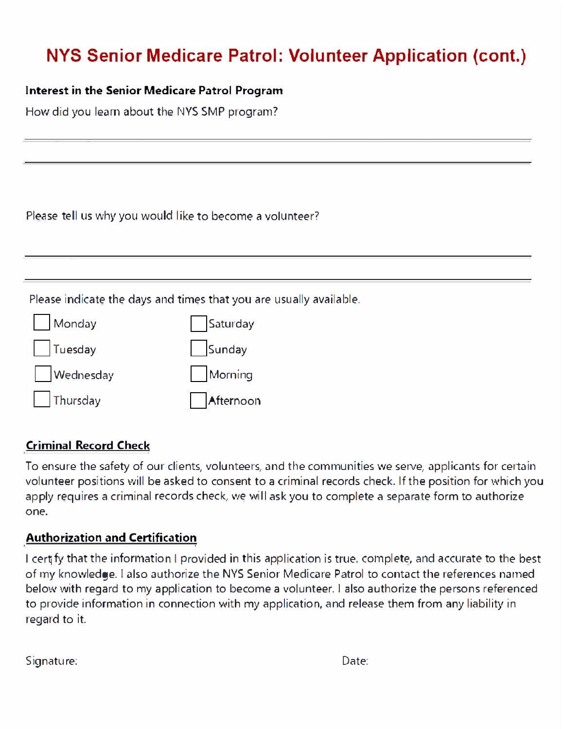# **NYS Senior Medicare Patrol: Volunteer Application (cont.)**

#### **Interest in the Senior Medicare Patrol Program**

How did you learn about the NYS SMP program?

Please tell us why you would like to *become* a volunteer?

Please indicate the days and times that you are usually available.



#### **Criminal Record Check**

To ensure the safety of our clients, volunteers, and the communities we serve, applicants for certain volunteer positions will be asked to consent to a criminal records check. If the position for which you apply requires a criminal records check, we will ask you to complete a separate form to authorize one.

#### **Authorization and Certification**

I cert fy that the information I provided in this application is true, complete, and accurate to the best of my knowledge. I also authorize the NYS Senior Medicare Patrol to contact the references named below with regard to my application to become a volunteer. I also authorize the persons referenced to provide information in connection with my application, and release them from any liability in regard to it.

Signature: Date: